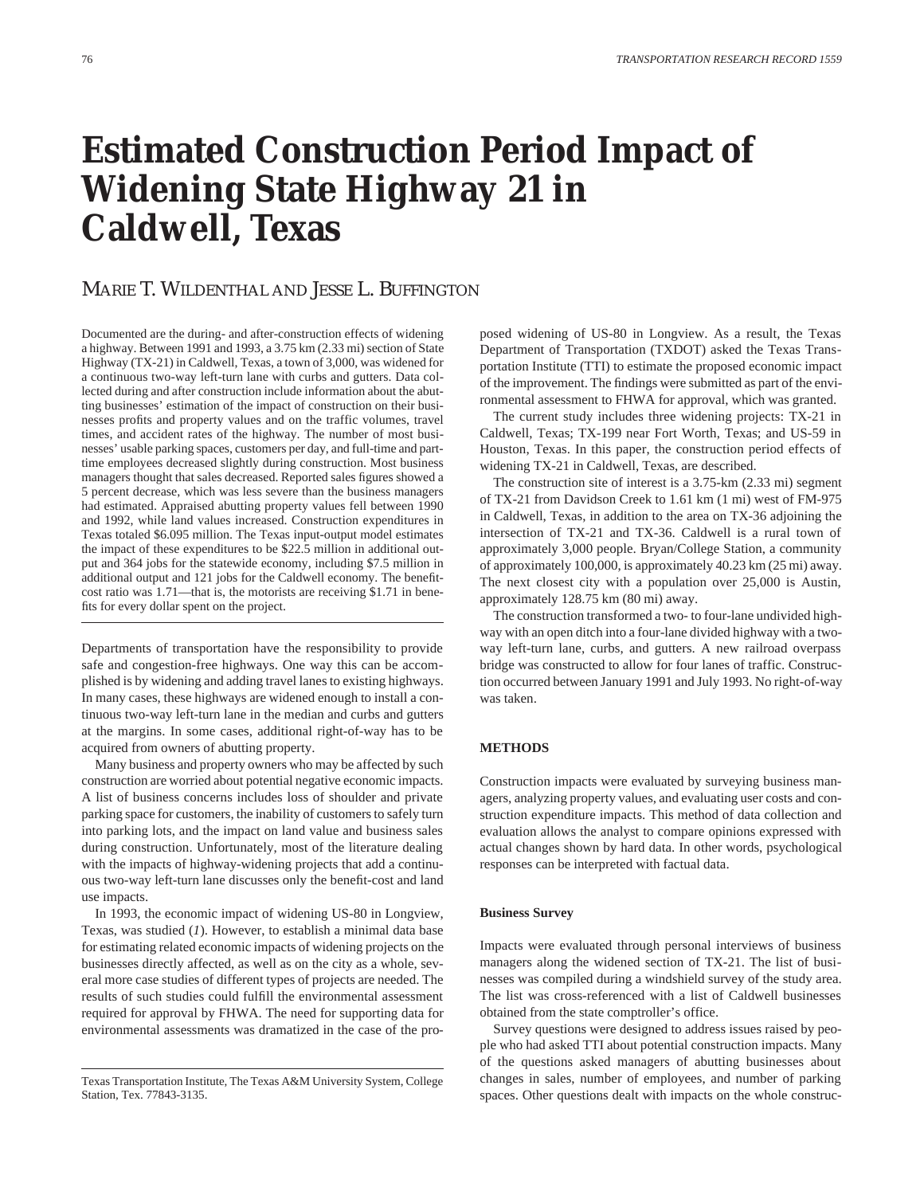# **Estimated Construction Period Impact of Widening State Highway 21 in Caldwell, Texas**

## MARIE T. WILDENTHAL AND JESSE L. BUFFINGTON

Documented are the during- and after-construction effects of widening a highway. Between 1991 and 1993, a 3.75 km (2.33 mi) section of State Highway (TX-21) in Caldwell, Texas, a town of 3,000, was widened for a continuous two-way left-turn lane with curbs and gutters. Data collected during and after construction include information about the abutting businesses' estimation of the impact of construction on their businesses profits and property values and on the traffic volumes, travel times, and accident rates of the highway. The number of most businesses' usable parking spaces, customers per day, and full-time and parttime employees decreased slightly during construction. Most business managers thought that sales decreased. Reported sales figures showed a 5 percent decrease, which was less severe than the business managers had estimated. Appraised abutting property values fell between 1990 and 1992, while land values increased. Construction expenditures in Texas totaled \$6.095 million. The Texas input-output model estimates the impact of these expenditures to be \$22.5 million in additional output and 364 jobs for the statewide economy, including \$7.5 million in additional output and 121 jobs for the Caldwell economy. The benefitcost ratio was 1.71—that is, the motorists are receiving \$1.71 in benefits for every dollar spent on the project.

Departments of transportation have the responsibility to provide safe and congestion-free highways. One way this can be accomplished is by widening and adding travel lanes to existing highways. In many cases, these highways are widened enough to install a continuous two-way left-turn lane in the median and curbs and gutters at the margins. In some cases, additional right-of-way has to be acquired from owners of abutting property.

Many business and property owners who may be affected by such construction are worried about potential negative economic impacts. A list of business concerns includes loss of shoulder and private parking space for customers, the inability of customers to safely turn into parking lots, and the impact on land value and business sales during construction. Unfortunately, most of the literature dealing with the impacts of highway-widening projects that add a continuous two-way left-turn lane discusses only the benefit-cost and land use impacts.

In 1993, the economic impact of widening US-80 in Longview, Texas, was studied (*1*). However, to establish a minimal data base for estimating related economic impacts of widening projects on the businesses directly affected, as well as on the city as a whole, several more case studies of different types of projects are needed. The results of such studies could fulfill the environmental assessment required for approval by FHWA. The need for supporting data for environmental assessments was dramatized in the case of the proposed widening of US-80 in Longview. As a result, the Texas Department of Transportation (TXDOT) asked the Texas Transportation Institute (TTI) to estimate the proposed economic impact of the improvement. The findings were submitted as part of the environmental assessment to FHWA for approval, which was granted.

The current study includes three widening projects: TX-21 in Caldwell, Texas; TX-199 near Fort Worth, Texas; and US-59 in Houston, Texas. In this paper, the construction period effects of widening TX-21 in Caldwell, Texas, are described.

The construction site of interest is a 3.75-km (2.33 mi) segment of TX-21 from Davidson Creek to 1.61 km (1 mi) west of FM-975 in Caldwell, Texas, in addition to the area on TX-36 adjoining the intersection of TX-21 and TX-36. Caldwell is a rural town of approximately 3,000 people. Bryan/College Station, a community of approximately 100,000, is approximately 40.23 km (25 mi) away. The next closest city with a population over 25,000 is Austin, approximately 128.75 km (80 mi) away.

The construction transformed a two- to four-lane undivided highway with an open ditch into a four-lane divided highway with a twoway left-turn lane, curbs, and gutters. A new railroad overpass bridge was constructed to allow for four lanes of traffic. Construction occurred between January 1991 and July 1993. No right-of-way was taken.

## **METHODS**

Construction impacts were evaluated by surveying business managers, analyzing property values, and evaluating user costs and construction expenditure impacts. This method of data collection and evaluation allows the analyst to compare opinions expressed with actual changes shown by hard data. In other words, psychological responses can be interpreted with factual data.

#### **Business Survey**

Impacts were evaluated through personal interviews of business managers along the widened section of TX-21. The list of businesses was compiled during a windshield survey of the study area. The list was cross-referenced with a list of Caldwell businesses obtained from the state comptroller's office.

Survey questions were designed to address issues raised by people who had asked TTI about potential construction impacts. Many of the questions asked managers of abutting businesses about changes in sales, number of employees, and number of parking spaces. Other questions dealt with impacts on the whole construc-

Texas Transportation Institute, The Texas A&M University System, College Station, Tex. 77843-3135.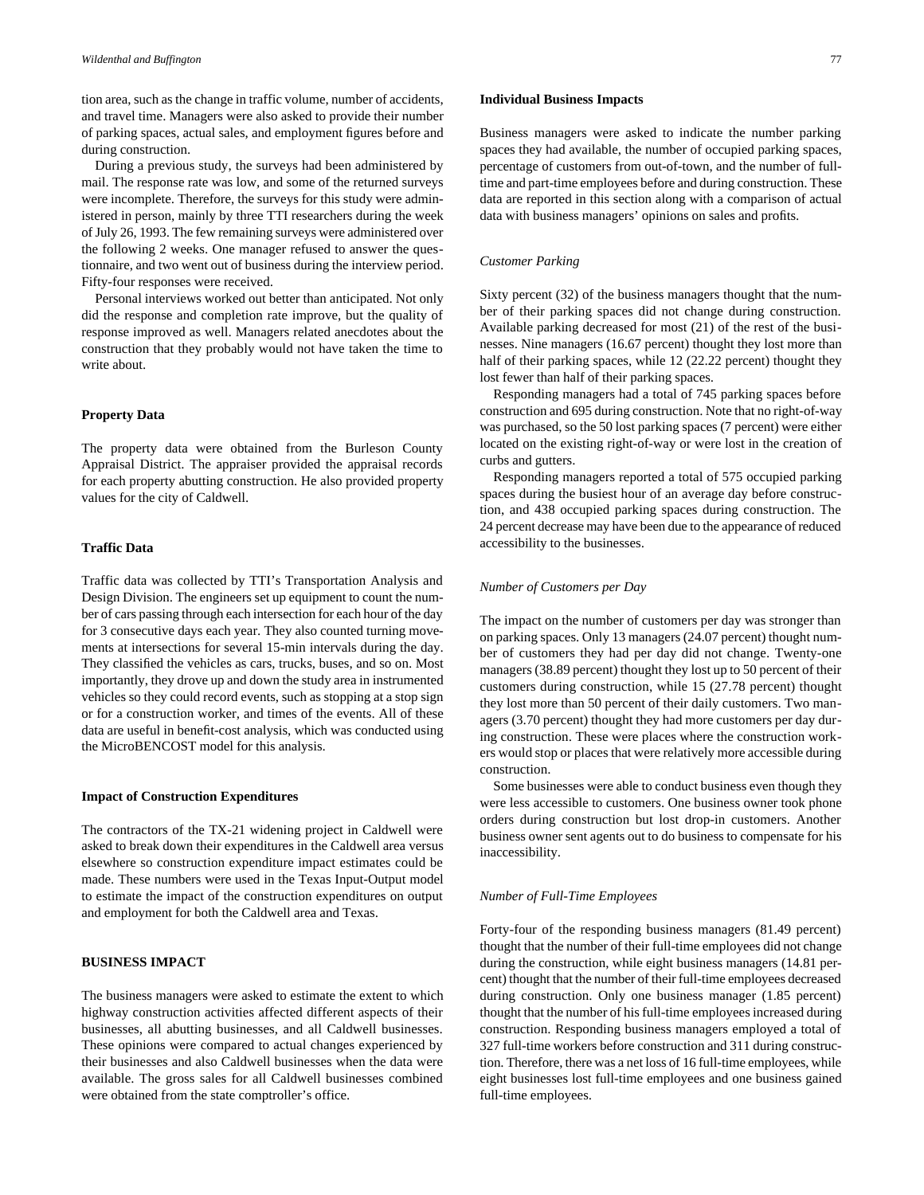tion area, such as the change in traffic volume, number of accidents, and travel time. Managers were also asked to provide their number of parking spaces, actual sales, and employment figures before and during construction.

During a previous study, the surveys had been administered by mail. The response rate was low, and some of the returned surveys were incomplete. Therefore, the surveys for this study were administered in person, mainly by three TTI researchers during the week of July 26, 1993. The few remaining surveys were administered over the following 2 weeks. One manager refused to answer the questionnaire, and two went out of business during the interview period. Fifty-four responses were received.

Personal interviews worked out better than anticipated. Not only did the response and completion rate improve, but the quality of response improved as well. Managers related anecdotes about the construction that they probably would not have taken the time to write about.

## **Property Data**

The property data were obtained from the Burleson County Appraisal District. The appraiser provided the appraisal records for each property abutting construction. He also provided property values for the city of Caldwell.

## **Traffic Data**

Traffic data was collected by TTI's Transportation Analysis and Design Division. The engineers set up equipment to count the number of cars passing through each intersection for each hour of the day for 3 consecutive days each year. They also counted turning movements at intersections for several 15-min intervals during the day. They classified the vehicles as cars, trucks, buses, and so on. Most importantly, they drove up and down the study area in instrumented vehicles so they could record events, such as stopping at a stop sign or for a construction worker, and times of the events. All of these data are useful in benefit-cost analysis, which was conducted using the MicroBENCOST model for this analysis.

## **Impact of Construction Expenditures**

The contractors of the TX-21 widening project in Caldwell were asked to break down their expenditures in the Caldwell area versus elsewhere so construction expenditure impact estimates could be made. These numbers were used in the Texas Input-Output model to estimate the impact of the construction expenditures on output and employment for both the Caldwell area and Texas.

## **BUSINESS IMPACT**

The business managers were asked to estimate the extent to which highway construction activities affected different aspects of their businesses, all abutting businesses, and all Caldwell businesses. These opinions were compared to actual changes experienced by their businesses and also Caldwell businesses when the data were available. The gross sales for all Caldwell businesses combined were obtained from the state comptroller's office.

## **Individual Business Impacts**

Business managers were asked to indicate the number parking spaces they had available, the number of occupied parking spaces, percentage of customers from out-of-town, and the number of fulltime and part-time employees before and during construction. These data are reported in this section along with a comparison of actual data with business managers' opinions on sales and profits.

#### *Customer Parking*

Sixty percent (32) of the business managers thought that the number of their parking spaces did not change during construction. Available parking decreased for most (21) of the rest of the businesses. Nine managers (16.67 percent) thought they lost more than half of their parking spaces, while 12 (22.22 percent) thought they lost fewer than half of their parking spaces.

Responding managers had a total of 745 parking spaces before construction and 695 during construction. Note that no right-of-way was purchased, so the 50 lost parking spaces (7 percent) were either located on the existing right-of-way or were lost in the creation of curbs and gutters.

Responding managers reported a total of 575 occupied parking spaces during the busiest hour of an average day before construction, and 438 occupied parking spaces during construction. The 24 percent decrease may have been due to the appearance of reduced accessibility to the businesses.

#### *Number of Customers per Day*

The impact on the number of customers per day was stronger than on parking spaces. Only 13 managers (24.07 percent) thought number of customers they had per day did not change. Twenty-one managers (38.89 percent) thought they lost up to 50 percent of their customers during construction, while 15 (27.78 percent) thought they lost more than 50 percent of their daily customers. Two managers (3.70 percent) thought they had more customers per day during construction. These were places where the construction workers would stop or places that were relatively more accessible during construction.

Some businesses were able to conduct business even though they were less accessible to customers. One business owner took phone orders during construction but lost drop-in customers. Another business owner sent agents out to do business to compensate for his inaccessibility.

#### *Number of Full-Time Employees*

Forty-four of the responding business managers (81.49 percent) thought that the number of their full-time employees did not change during the construction, while eight business managers (14.81 percent) thought that the number of their full-time employees decreased during construction. Only one business manager (1.85 percent) thought that the number of his full-time employees increased during construction. Responding business managers employed a total of 327 full-time workers before construction and 311 during construction. Therefore, there was a net loss of 16 full-time employees, while eight businesses lost full-time employees and one business gained full-time employees.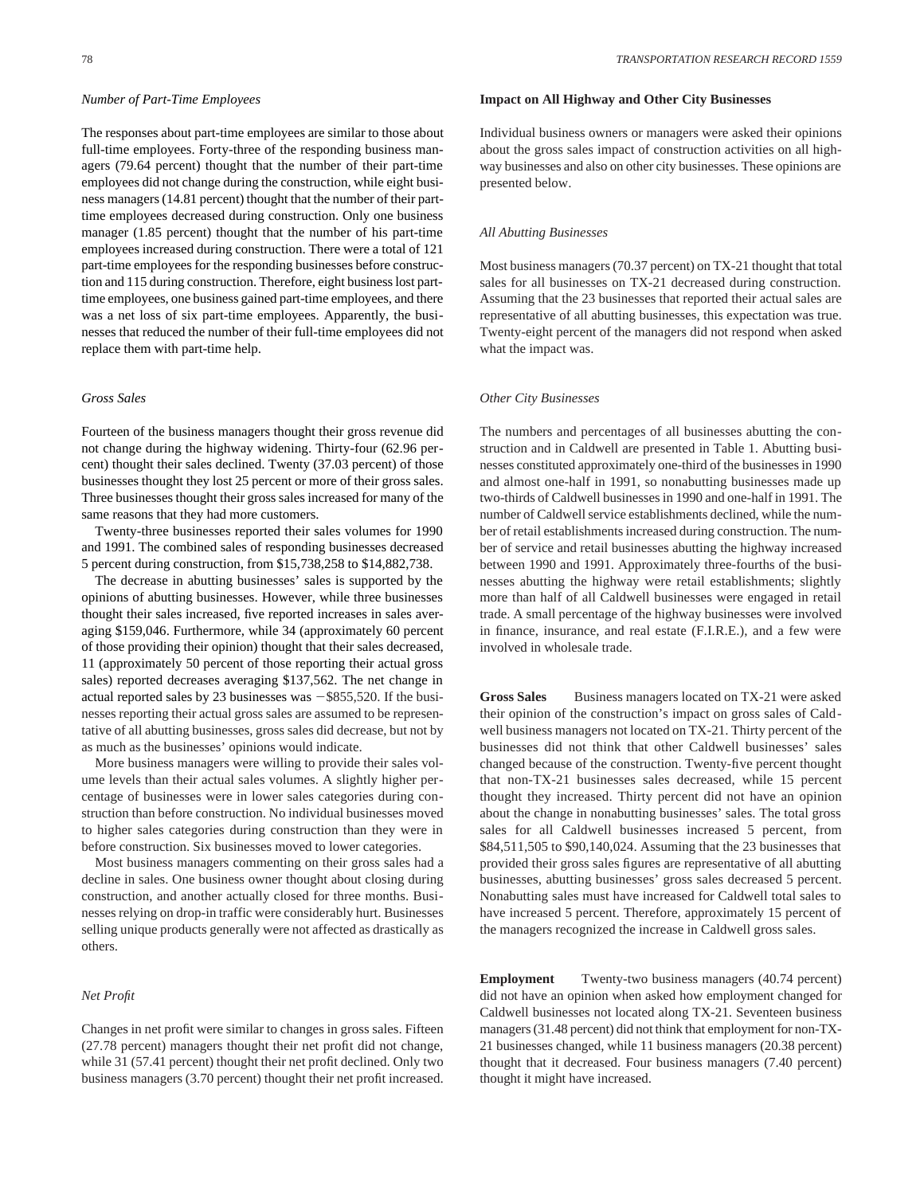#### *Number of Part-Time Employees*

The responses about part-time employees are similar to those about full-time employees. Forty-three of the responding business managers (79.64 percent) thought that the number of their part-time employees did not change during the construction, while eight business managers (14.81 percent) thought that the number of their parttime employees decreased during construction. Only one business manager (1.85 percent) thought that the number of his part-time employees increased during construction. There were a total of 121 part-time employees for the responding businesses before construction and 115 during construction. Therefore, eight business lost parttime employees, one business gained part-time employees, and there was a net loss of six part-time employees. Apparently, the businesses that reduced the number of their full-time employees did not replace them with part-time help.

## *Gross Sales*

Fourteen of the business managers thought their gross revenue did not change during the highway widening. Thirty-four (62.96 percent) thought their sales declined. Twenty (37.03 percent) of those businesses thought they lost 25 percent or more of their gross sales. Three businesses thought their gross sales increased for many of the same reasons that they had more customers.

Twenty-three businesses reported their sales volumes for 1990 and 1991. The combined sales of responding businesses decreased 5 percent during construction, from \$15,738,258 to \$14,882,738.

The decrease in abutting businesses' sales is supported by the opinions of abutting businesses. However, while three businesses thought their sales increased, five reported increases in sales averaging \$159,046. Furthermore, while 34 (approximately 60 percent of those providing their opinion) thought that their sales decreased, 11 (approximately 50 percent of those reporting their actual gross sales) reported decreases averaging \$137,562. The net change in actual reported sales by 23 businesses was  $-\$855,520$ . If the businesses reporting their actual gross sales are assumed to be representative of all abutting businesses, gross sales did decrease, but not by as much as the businesses' opinions would indicate.

More business managers were willing to provide their sales volume levels than their actual sales volumes. A slightly higher percentage of businesses were in lower sales categories during construction than before construction. No individual businesses moved to higher sales categories during construction than they were in before construction. Six businesses moved to lower categories.

Most business managers commenting on their gross sales had a decline in sales. One business owner thought about closing during construction, and another actually closed for three months. Businesses relying on drop-in traffic were considerably hurt. Businesses selling unique products generally were not affected as drastically as others.

#### *Net Profit*

Changes in net profit were similar to changes in gross sales. Fifteen (27.78 percent) managers thought their net profit did not change, while 31 (57.41 percent) thought their net profit declined. Only two business managers (3.70 percent) thought their net profit increased.

## **Impact on All Highway and Other City Businesses**

Individual business owners or managers were asked their opinions about the gross sales impact of construction activities on all highway businesses and also on other city businesses. These opinions are presented below.

#### *All Abutting Businesses*

Most business managers (70.37 percent) on TX-21 thought that total sales for all businesses on TX-21 decreased during construction. Assuming that the 23 businesses that reported their actual sales are representative of all abutting businesses, this expectation was true. Twenty-eight percent of the managers did not respond when asked what the impact was.

#### *Other City Businesses*

The numbers and percentages of all businesses abutting the construction and in Caldwell are presented in Table 1. Abutting businesses constituted approximately one-third of the businesses in 1990 and almost one-half in 1991, so nonabutting businesses made up two-thirds of Caldwell businesses in 1990 and one-half in 1991. The number of Caldwell service establishments declined, while the number of retail establishments increased during construction. The number of service and retail businesses abutting the highway increased between 1990 and 1991. Approximately three-fourths of the businesses abutting the highway were retail establishments; slightly more than half of all Caldwell businesses were engaged in retail trade. A small percentage of the highway businesses were involved in finance, insurance, and real estate (F.I.R.E.), and a few were involved in wholesale trade.

Gross Sales Business managers located on TX-21 were asked their opinion of the construction's impact on gross sales of Caldwell business managers not located on TX-21. Thirty percent of the businesses did not think that other Caldwell businesses' sales changed because of the construction. Twenty-five percent thought that non-TX-21 businesses sales decreased, while 15 percent thought they increased. Thirty percent did not have an opinion about the change in nonabutting businesses' sales. The total gross sales for all Caldwell businesses increased 5 percent, from \$84,511,505 to \$90,140,024. Assuming that the 23 businesses that provided their gross sales figures are representative of all abutting businesses, abutting businesses' gross sales decreased 5 percent. Nonabutting sales must have increased for Caldwell total sales to have increased 5 percent. Therefore, approximately 15 percent of the managers recognized the increase in Caldwell gross sales.

**Employment** Twenty-two business managers (40.74 percent) did not have an opinion when asked how employment changed for Caldwell businesses not located along TX-21. Seventeen business managers (31.48 percent) did not think that employment for non-TX-21 businesses changed, while 11 business managers (20.38 percent) thought that it decreased. Four business managers (7.40 percent) thought it might have increased.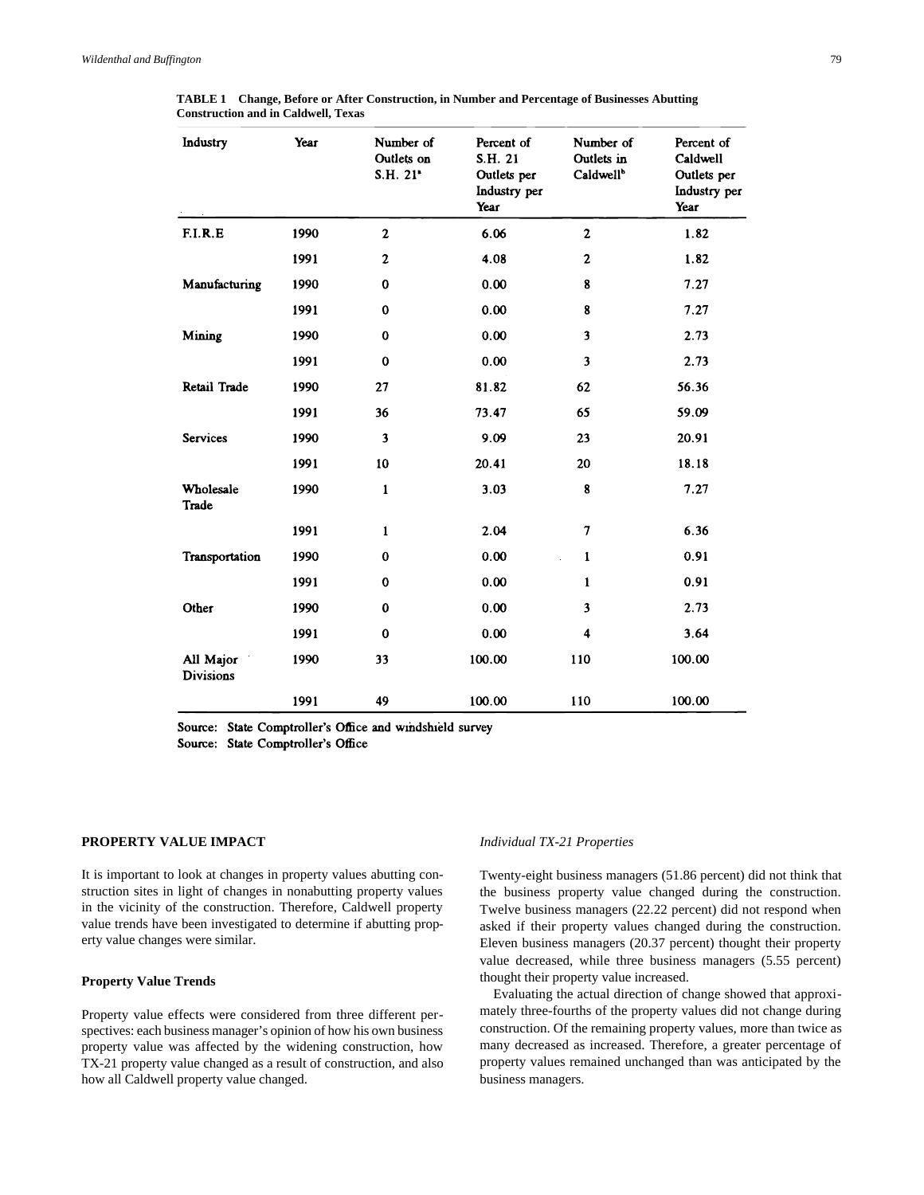| Industry                      | Year | Number of<br>Outlets on<br>S.H. 21* | Percent of<br>S.H. 21<br>Outlets per<br>Industry per<br>Year | Number of<br>Outlets in<br>Caldwell <sup>b</sup> | Percent of<br>Caldwell<br>Outlets per<br>Industry per<br>Year |
|-------------------------------|------|-------------------------------------|--------------------------------------------------------------|--------------------------------------------------|---------------------------------------------------------------|
| F.I.R.E                       | 1990 | $\mathbf{2}$                        | 6.06                                                         | $\overline{2}$                                   | 1.82                                                          |
|                               | 1991 | $\mathbf{2}$                        | 4.08                                                         | $\mathbf{2}$                                     | 1.82                                                          |
| Manufacturing                 | 1990 | $\bf{0}$                            | 0.00                                                         | 8                                                | 7.27                                                          |
|                               | 1991 | $\mathbf 0$                         | 0.00                                                         | 8                                                | 7.27                                                          |
| Mining                        | 1990 | $\bf{0}$                            | 0.00                                                         | 3                                                | 2.73                                                          |
|                               | 1991 | 0                                   | 0.00                                                         | 3                                                | 2.73                                                          |
| Retail Trade                  | 1990 | 27                                  | 81.82                                                        | 62                                               | 56.36                                                         |
|                               | 1991 | 36                                  | 73.47                                                        | 65                                               | 59.09                                                         |
| <b>Services</b>               | 1990 | 3                                   | 9.09                                                         | 23                                               | 20.91                                                         |
|                               | 1991 | 10                                  | 20.41                                                        | 20                                               | 18.18                                                         |
| Wholesale<br>Trade            | 1990 | $\mathbf{1}$                        | 3.03                                                         | 8                                                | 7.27                                                          |
|                               | 1991 | $\mathbf{1}$                        | 2.04                                                         | 7                                                | 6.36                                                          |
| Transportation                | 1990 | $\bf{0}$                            | 0.00                                                         | $\mathbf{1}$                                     | 0.91                                                          |
|                               | 1991 | $\bf{0}$                            | 0.00                                                         | $\mathbf{1}$                                     | 0.91                                                          |
| Other                         | 1990 | 0                                   | 0.00                                                         | 3                                                | 2.73                                                          |
|                               | 1991 | $\bf{0}$                            | 0.00                                                         | $\overline{\mathbf{4}}$                          | 3.64                                                          |
| All Major<br><b>Divisions</b> | 1990 | 33                                  | 100.00                                                       | 110                                              | 100.00                                                        |
|                               | 1991 | 49                                  | 100.00                                                       | 110                                              | 100.00                                                        |

**TABLE 1 Change, Before or After Construction, in Number and Percentage of Businesses Abutting Construction and in Caldwell, Texas**

Source: State Comptroller's Office and windshield survey

Source: State Comptroller's Office

## **PROPERTY VALUE IMPACT**

It is important to look at changes in property values abutting construction sites in light of changes in nonabutting property values in the vicinity of the construction. Therefore, Caldwell property value trends have been investigated to determine if abutting property value changes were similar.

## **Property Value Trends**

Property value effects were considered from three different perspectives: each business manager's opinion of how his own business property value was affected by the widening construction, how TX-21 property value changed as a result of construction, and also how all Caldwell property value changed.

#### *Individual TX-21 Properties*

Twenty-eight business managers (51.86 percent) did not think that the business property value changed during the construction. Twelve business managers (22.22 percent) did not respond when asked if their property values changed during the construction. Eleven business managers (20.37 percent) thought their property value decreased, while three business managers (5.55 percent) thought their property value increased.

Evaluating the actual direction of change showed that approximately three-fourths of the property values did not change during construction. Of the remaining property values, more than twice as many decreased as increased. Therefore, a greater percentage of property values remained unchanged than was anticipated by the business managers.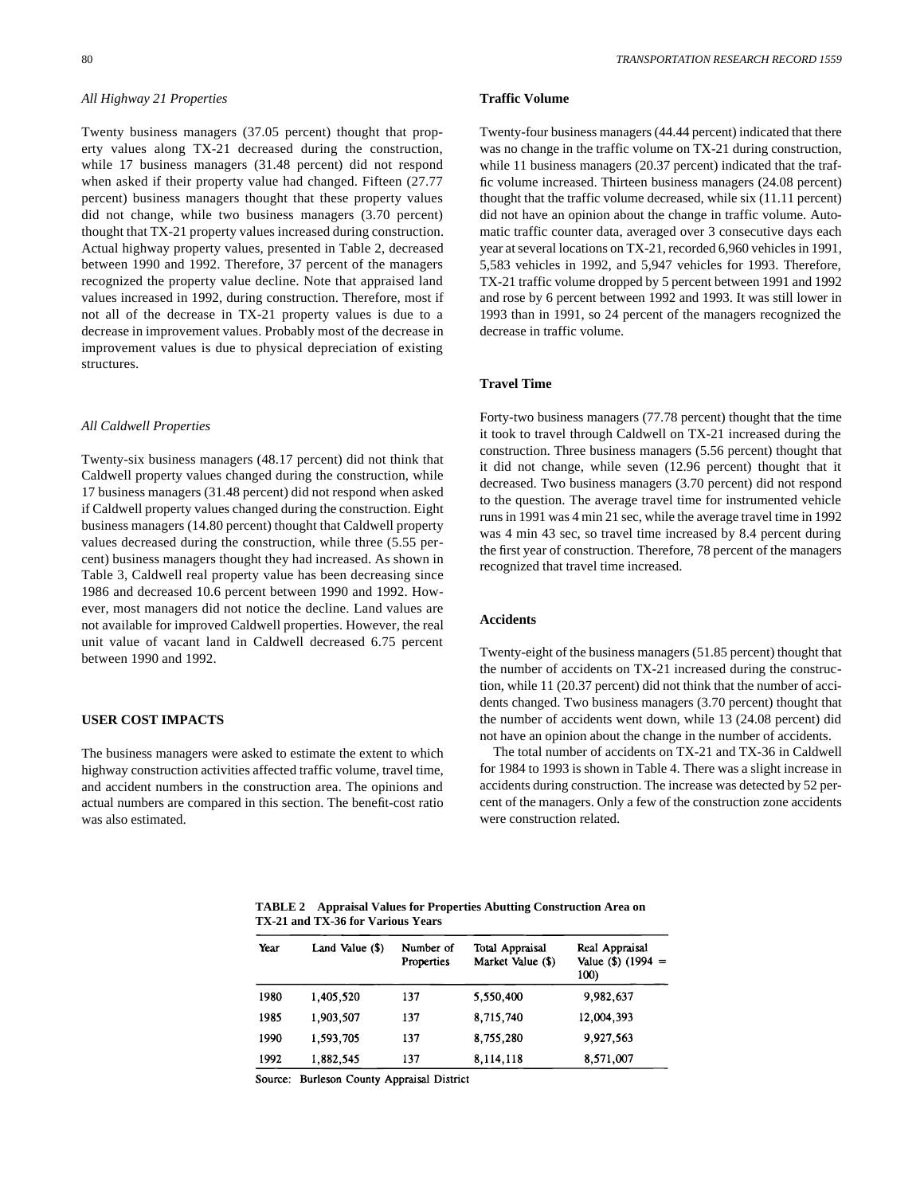#### *All Highway 21 Properties*

Twenty business managers (37.05 percent) thought that property values along TX-21 decreased during the construction, while 17 business managers (31.48 percent) did not respond when asked if their property value had changed. Fifteen (27.77 percent) business managers thought that these property values did not change, while two business managers (3.70 percent) thought that TX-21 property values increased during construction. Actual highway property values, presented in Table 2, decreased between 1990 and 1992. Therefore, 37 percent of the managers recognized the property value decline. Note that appraised land values increased in 1992, during construction. Therefore, most if not all of the decrease in TX-21 property values is due to a decrease in improvement values. Probably most of the decrease in improvement values is due to physical depreciation of existing structures.

#### *All Caldwell Properties*

Twenty-six business managers (48.17 percent) did not think that Caldwell property values changed during the construction, while 17 business managers (31.48 percent) did not respond when asked if Caldwell property values changed during the construction. Eight business managers (14.80 percent) thought that Caldwell property values decreased during the construction, while three (5.55 percent) business managers thought they had increased. As shown in Table 3, Caldwell real property value has been decreasing since 1986 and decreased 10.6 percent between 1990 and 1992. However, most managers did not notice the decline. Land values are not available for improved Caldwell properties. However, the real unit value of vacant land in Caldwell decreased 6.75 percent between 1990 and 1992.

## **USER COST IMPACTS**

The business managers were asked to estimate the extent to which highway construction activities affected traffic volume, travel time, and accident numbers in the construction area. The opinions and actual numbers are compared in this section. The benefit-cost ratio was also estimated.

#### **Traffic Volume**

Twenty-four business managers (44.44 percent) indicated that there was no change in the traffic volume on TX-21 during construction, while 11 business managers (20.37 percent) indicated that the traffic volume increased. Thirteen business managers (24.08 percent) thought that the traffic volume decreased, while six (11.11 percent) did not have an opinion about the change in traffic volume. Automatic traffic counter data, averaged over 3 consecutive days each year at several locations on TX-21, recorded 6,960 vehicles in 1991, 5,583 vehicles in 1992, and 5,947 vehicles for 1993. Therefore, TX-21 traffic volume dropped by 5 percent between 1991 and 1992 and rose by 6 percent between 1992 and 1993. It was still lower in 1993 than in 1991, so 24 percent of the managers recognized the decrease in traffic volume.

## **Travel Time**

Forty-two business managers (77.78 percent) thought that the time it took to travel through Caldwell on TX-21 increased during the construction. Three business managers (5.56 percent) thought that it did not change, while seven (12.96 percent) thought that it decreased. Two business managers (3.70 percent) did not respond to the question. The average travel time for instrumented vehicle runs in 1991 was 4 min 21 sec, while the average travel time in 1992 was 4 min 43 sec, so travel time increased by 8.4 percent during the first year of construction. Therefore, 78 percent of the managers recognized that travel time increased.

## **Accidents**

Twenty-eight of the business managers (51.85 percent) thought that the number of accidents on TX-21 increased during the construction, while 11 (20.37 percent) did not think that the number of accidents changed. Two business managers (3.70 percent) thought that the number of accidents went down, while 13 (24.08 percent) did not have an opinion about the change in the number of accidents.

The total number of accidents on TX-21 and TX-36 in Caldwell for 1984 to 1993 is shown in Table 4. There was a slight increase in accidents during construction. The increase was detected by 52 percent of the managers. Only a few of the construction zone accidents were construction related.

**TABLE 2 Appraisal Values for Properties Abutting Construction Area on TX-21 and TX-36 for Various Years**

| Year | Land Value (\$) | Number of<br>Properties | Total Appraisal<br>Market Value (\$) | Real Appraisal<br>Value (\$) $(1994 =$<br>100) |
|------|-----------------|-------------------------|--------------------------------------|------------------------------------------------|
| 1980 | 1,405,520       | 137                     | 5.550,400                            | 9,982,637                                      |
| 1985 | 1,903,507       | 137                     | 8,715,740                            | 12,004,393                                     |
| 1990 | 1,593,705       | 137                     | 8,755,280                            | 9,927,563                                      |
| 1992 | 1,882,545       | 137                     | 8,114,118                            | 8,571,007                                      |

Source: Burleson County Appraisal District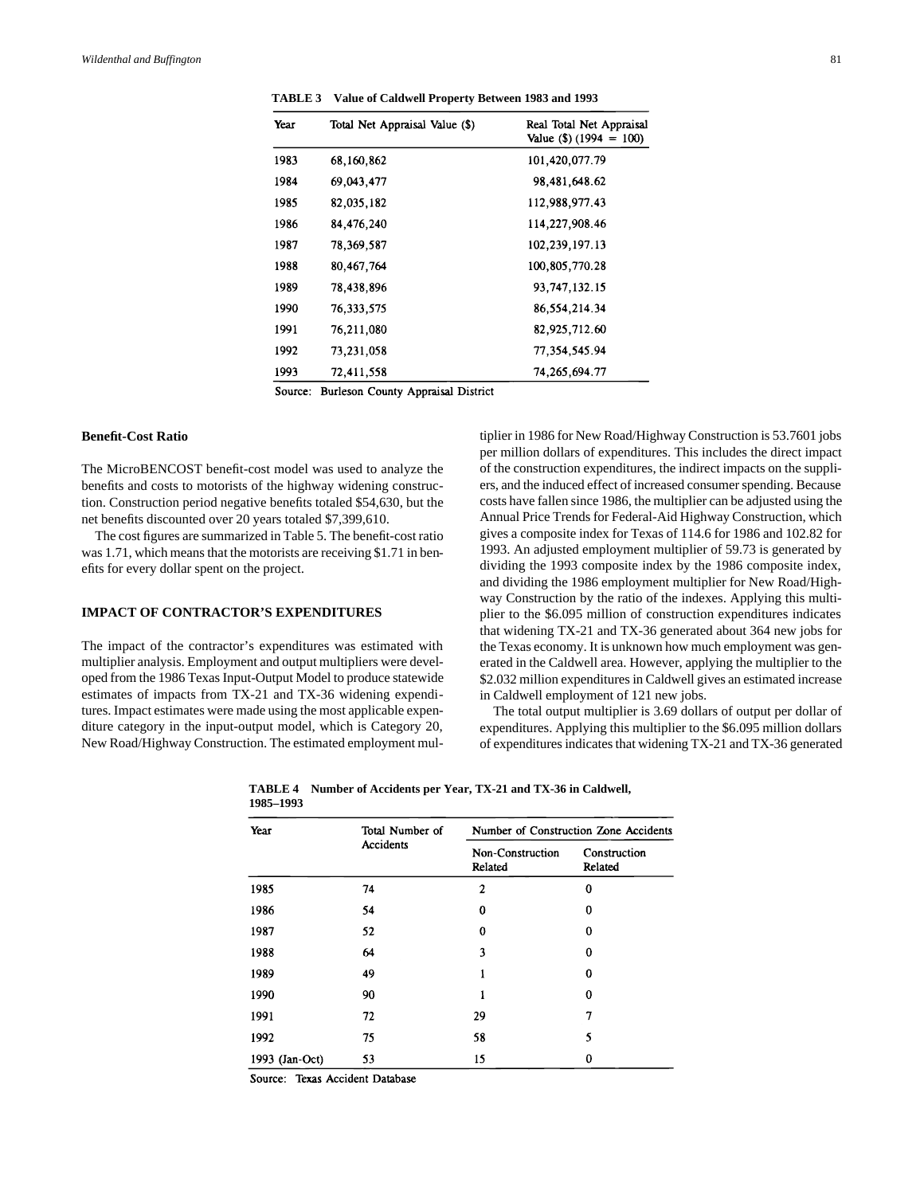| Year | Total Net Appraisal Value (\$) | Real Total Net Appraisal<br>Value (\$) $(1994 = 100)$ |
|------|--------------------------------|-------------------------------------------------------|
| 1983 | 68,160,862                     | 101,420,077.79                                        |
| 1984 | 69,043,477                     | 98,481,648.62                                         |
| 1985 | 82,035,182                     | 112,988,977.43                                        |
| 1986 | 84,476,240                     | 114,227,908.46                                        |
| 1987 | 78,369,587                     | 102,239,197.13                                        |
| 1988 | 80,467,764                     | 100,805,770.28                                        |
| 1989 | 78,438,896                     | 93,747,132.15                                         |
| 1990 | 76, 333, 575                   | 86, 554, 214. 34                                      |
| 1991 | 76,211,080                     | 82,925,712.60                                         |
| 1992 | 73,231,058                     | 77, 354, 545. 94                                      |
| 1993 | 72,411,558                     | 74, 265, 694, 77                                      |
|      | <b>PUILLER</b>                 |                                                       |

**TABLE 3 Value of Caldwell Property Between 1983 and 1993**

Source: Burleson County Appraisal District

#### **Benefit-Cost Ratio**

The MicroBENCOST benefit-cost model was used to analyze the benefits and costs to motorists of the highway widening construction. Construction period negative benefits totaled \$54,630, but the net benefits discounted over 20 years totaled \$7,399,610.

The cost figures are summarized in Table 5. The benefit-cost ratio was 1.71, which means that the motorists are receiving \$1.71 in benefits for every dollar spent on the project.

## **IMPACT OF CONTRACTOR'S EXPENDITURES**

The impact of the contractor's expenditures was estimated with multiplier analysis. Employment and output multipliers were developed from the 1986 Texas Input-Output Model to produce statewide estimates of impacts from TX-21 and TX-36 widening expenditures. Impact estimates were made using the most applicable expenditure category in the input-output model, which is Category 20, New Road/Highway Construction. The estimated employment mul-

tiplier in 1986 for New Road/Highway Construction is 53.7601 jobs per million dollars of expenditures. This includes the direct impact of the construction expenditures, the indirect impacts on the suppliers, and the induced effect of increased consumer spending. Because costs have fallen since 1986, the multiplier can be adjusted using the Annual Price Trends for Federal-Aid Highway Construction, which gives a composite index for Texas of 114.6 for 1986 and 102.82 for 1993. An adjusted employment multiplier of 59.73 is generated by dividing the 1993 composite index by the 1986 composite index, and dividing the 1986 employment multiplier for New Road/Highway Construction by the ratio of the indexes. Applying this multiplier to the \$6.095 million of construction expenditures indicates that widening TX-21 and TX-36 generated about 364 new jobs for the Texas economy. It is unknown how much employment was generated in the Caldwell area. However, applying the multiplier to the \$2.032 million expenditures in Caldwell gives an estimated increase in Caldwell employment of 121 new jobs.

The total output multiplier is 3.69 dollars of output per dollar of expenditures. Applying this multiplier to the \$6.095 million dollars of expenditures indicates that widening TX-21 and TX-36 generated

| Year           | Total Number of | Number of Construction Zone Accidents |                         |  |
|----------------|-----------------|---------------------------------------|-------------------------|--|
|                | Accidents       | Non-Construction<br>Related           | Construction<br>Related |  |
| 1985           | 74              | $\overline{c}$                        | 0                       |  |
| 1986           | 54              | 0                                     | 0                       |  |
| 1987           | 52              | 0                                     | $\bf{0}$                |  |
| 1988           | 64              | 3                                     | 0                       |  |
| 1989           | 49              | 1                                     | 0                       |  |
| 1990           | 90              |                                       | $\Omega$                |  |
| 1991           | 72              | 29                                    | 7                       |  |
| 1992           | 75              | 58                                    | 5                       |  |
| 1993 (Jan-Oct) | 53              | 15                                    | 0                       |  |

**TABLE 4 Number of Accidents per Year, TX-21 and TX-36 in Caldwell, 1985–1993**

Source: Texas Accident Database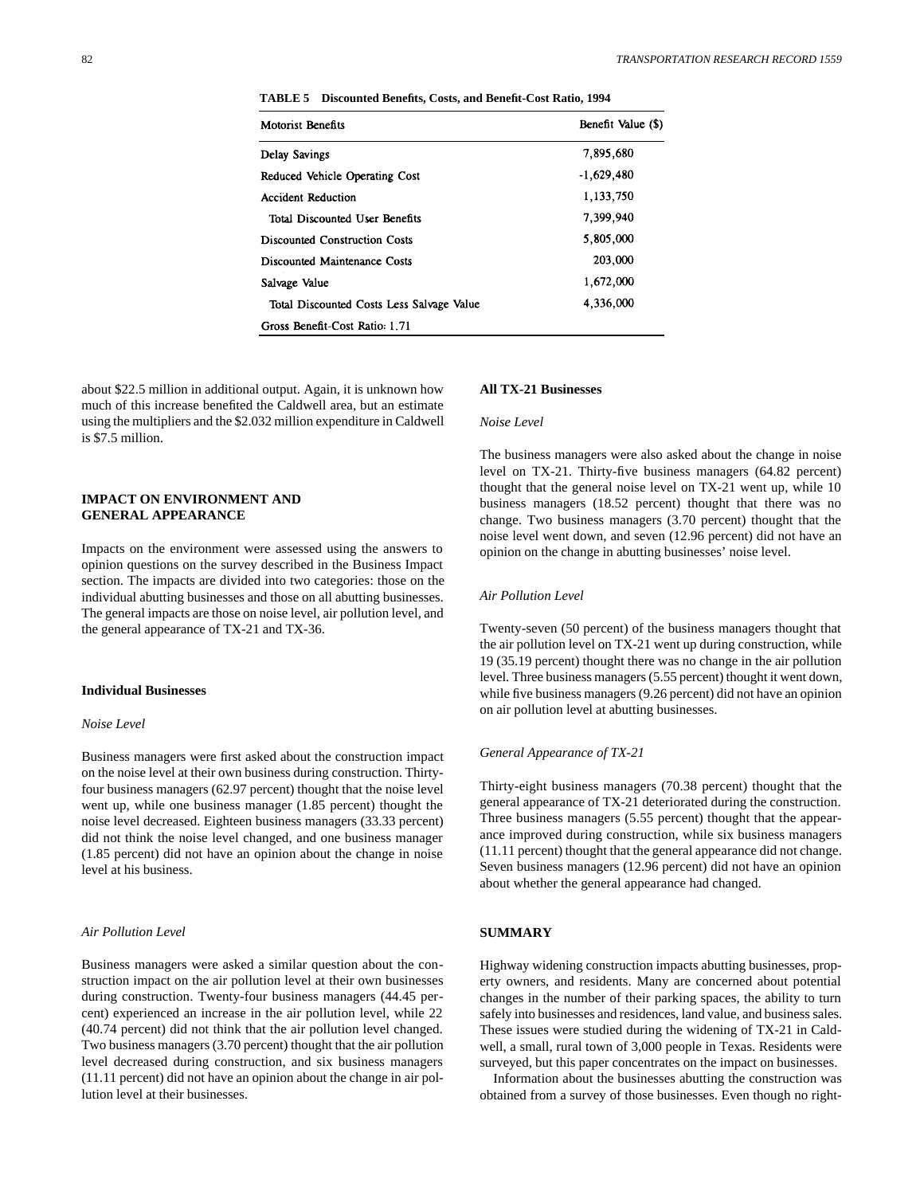| <b>Motorist Benefits</b>                  | Benefit Value (\$) |
|-------------------------------------------|--------------------|
| <b>Delay Savings</b>                      | 7,895,680          |
| Reduced Vehicle Operating Cost            | $-1,629,480$       |
| <b>Accident Reduction</b>                 | 1,133,750          |
| Total Discounted User Benefits            | 7.399.940          |
| Discounted Construction Costs             | 5,805,000          |
| Discounted Maintenance Costs              | 203,000            |
| Salvage Value                             | 1,672,000          |
| Total Discounted Costs Less Salvage Value | 4,336,000          |
| Gross Benefit-Cost Ratio: 1.71            |                    |

**TABLE 5 Discounted Benefits, Costs, and Benefit-Cost Ratio, 1994**

about \$22.5 million in additional output. Again, it is unknown how much of this increase benefited the Caldwell area, but an estimate using the multipliers and the \$2.032 million expenditure in Caldwell is \$7.5 million.

## **IMPACT ON ENVIRONMENT AND GENERAL APPEARANCE**

Impacts on the environment were assessed using the answers to opinion questions on the survey described in the Business Impact section. The impacts are divided into two categories: those on the individual abutting businesses and those on all abutting businesses. The general impacts are those on noise level, air pollution level, and the general appearance of TX-21 and TX-36.

#### **Individual Businesses**

#### *Noise Level*

Business managers were first asked about the construction impact on the noise level at their own business during construction. Thirtyfour business managers (62.97 percent) thought that the noise level went up, while one business manager (1.85 percent) thought the noise level decreased. Eighteen business managers (33.33 percent) did not think the noise level changed, and one business manager (1.85 percent) did not have an opinion about the change in noise level at his business.

#### *Air Pollution Level*

Business managers were asked a similar question about the construction impact on the air pollution level at their own businesses during construction. Twenty-four business managers (44.45 percent) experienced an increase in the air pollution level, while 22 (40.74 percent) did not think that the air pollution level changed. Two business managers (3.70 percent) thought that the air pollution level decreased during construction, and six business managers (11.11 percent) did not have an opinion about the change in air pollution level at their businesses.

#### **All TX-21 Businesses**

#### *Noise Level*

The business managers were also asked about the change in noise level on TX-21. Thirty-five business managers (64.82 percent) thought that the general noise level on TX-21 went up, while 10 business managers (18.52 percent) thought that there was no change. Two business managers (3.70 percent) thought that the noise level went down, and seven (12.96 percent) did not have an opinion on the change in abutting businesses' noise level.

#### *Air Pollution Level*

Twenty-seven (50 percent) of the business managers thought that the air pollution level on TX-21 went up during construction, while 19 (35.19 percent) thought there was no change in the air pollution level. Three business managers (5.55 percent) thought it went down, while five business managers (9.26 percent) did not have an opinion on air pollution level at abutting businesses.

#### *General Appearance of TX-21*

Thirty-eight business managers (70.38 percent) thought that the general appearance of TX-21 deteriorated during the construction. Three business managers (5.55 percent) thought that the appearance improved during construction, while six business managers (11.11 percent) thought that the general appearance did not change. Seven business managers (12.96 percent) did not have an opinion about whether the general appearance had changed.

## **SUMMARY**

Highway widening construction impacts abutting businesses, property owners, and residents. Many are concerned about potential changes in the number of their parking spaces, the ability to turn safely into businesses and residences, land value, and business sales. These issues were studied during the widening of TX-21 in Caldwell, a small, rural town of 3,000 people in Texas. Residents were surveyed, but this paper concentrates on the impact on businesses.

Information about the businesses abutting the construction was obtained from a survey of those businesses. Even though no right